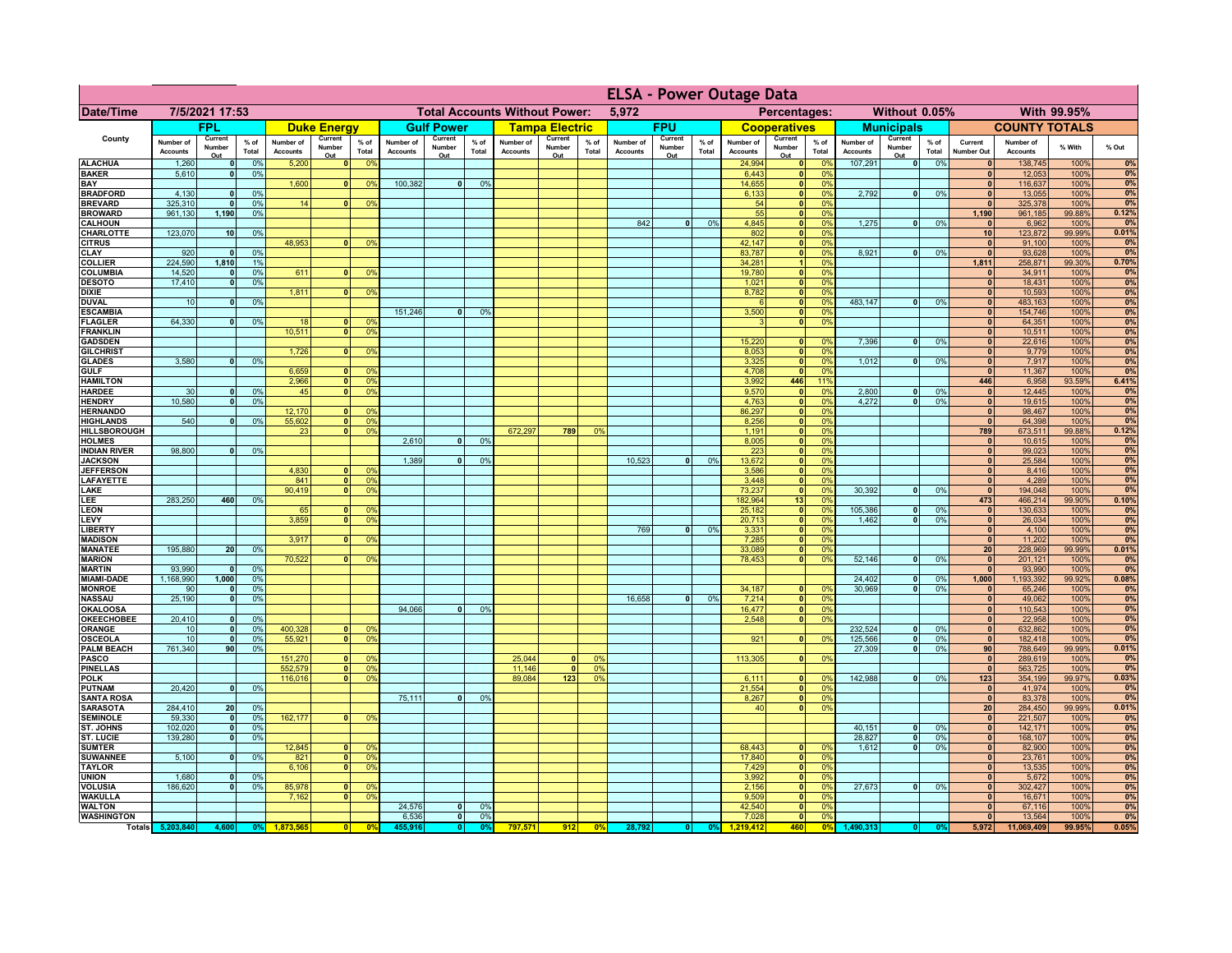|                                      |                              |                          |                 |                              |                                |                                  |                              | <b>ELSA - Power Outage Data</b> |                 |                                      |                          |                                  |                              |                          |               |                              |                           |                             |                              |                          |                 |                              |                              |                |             |
|--------------------------------------|------------------------------|--------------------------|-----------------|------------------------------|--------------------------------|----------------------------------|------------------------------|---------------------------------|-----------------|--------------------------------------|--------------------------|----------------------------------|------------------------------|--------------------------|---------------|------------------------------|---------------------------|-----------------------------|------------------------------|--------------------------|-----------------|------------------------------|------------------------------|----------------|-------------|
| Date/Time                            |                              | 7/5/2021 17:53           |                 |                              |                                |                                  |                              |                                 |                 | <b>Total Accounts Without Power:</b> |                          |                                  | 5,972                        |                          |               |                              | Percentages:              |                             |                              | Without 0.05%            |                 |                              |                              | With 99.95%    |             |
|                                      |                              | FPL                      |                 |                              | <b>Duke Energy</b>             |                                  |                              | <b>Gulf Power</b>               |                 |                                      | <b>Tampa Electric</b>    |                                  |                              | <b>FPU</b>               |               |                              | <b>Cooperatives</b>       |                             |                              | <b>Municipals</b>        |                 |                              | <b>COUNTY TOTALS</b>         |                |             |
| County                               | Number of<br><b>Accounts</b> | Current<br>Number<br>Out | $%$ of<br>Total | Number of<br><b>Accounts</b> | Current<br>Number<br>Out       | $%$ of<br>Total                  | Number of<br><b>Accounts</b> | Current<br>Number<br>Out        | $%$ of<br>Total | Number of<br><b>Accounts</b>         | Current<br>Number<br>Out | % of<br>Total                    | Number of<br><b>Accounts</b> | Current<br>Number<br>Out | % of<br>Total | Number of<br><b>Accounts</b> | Current<br>Number<br>Out  | $%$ of<br>Total             | Number of<br><b>Accounts</b> | Current<br>Number<br>Out | $%$ of<br>Total | Current<br><b>Number Out</b> | Number of<br><b>Accounts</b> | % With         | % Out       |
| <b>ALACHUA</b>                       | 1,260                        | $\mathbf{0}$             | 0%              | 5,200                        | 0                              | 0 <sup>9</sup>                   |                              |                                 |                 |                                      |                          |                                  |                              |                          |               | 24,994                       | 0                         | 0 <sup>9</sup>              | 107,291                      | $\overline{\bullet}$     | 0%              | 0                            | 138,745                      | 100%           | 0%          |
| <b>BAKER</b><br>BAY                  | 5,610                        | 0                        | 0%              | 1,600                        | $\mathbf{0}$                   | 0 <sup>9</sup>                   | 100,382                      | $\overline{0}$                  | 0%              |                                      |                          |                                  |                              |                          |               | 6,443<br>14,655              | 0 <br> 0                  | 0 <sup>9</sup><br>0%        |                              |                          |                 | $\mathbf{0}$<br>$\mathbf{0}$ | 12,053<br>116,637            | 100%<br>100%   | 0%<br>0%    |
| <b>BRADFORD</b>                      | 4,130                        | $\Omega$                 | 0%              |                              |                                |                                  |                              |                                 |                 |                                      |                          |                                  |                              |                          |               | 6,133                        | 0                         | 0%                          | 2,792                        | 0                        | 0%              | $\mathbf{0}$                 | 13,055                       | 100%           | 0%          |
| <b>BREVARD</b>                       | 325,310                      | $\Omega$                 | 0%              | 14                           | 0                              | 0%                               |                              |                                 |                 |                                      |                          |                                  |                              |                          |               | 54                           | 0                         | 0%                          |                              |                          |                 | $\Omega$                     | 325,378                      | 100%           | 0%<br>0.12% |
| <b>BROWARD</b><br><b>CALHOUN</b>     | 961,130                      | 1,190                    | 0%              |                              |                                |                                  |                              |                                 |                 |                                      |                          |                                  | 842                          | $\mathbf{0}$             | 0%            | 55<br>4,845                  | 0 <br> 0                  | 0%<br>0%                    | 1,275                        | -ol                      | 0%              | 1,190<br>$\mathbf{0}$        | 961,185<br>6,962             | 99.88%<br>100% | 0%          |
| CHARLOTTE                            | 123,070                      | 10                       | 0%              |                              |                                |                                  |                              |                                 |                 |                                      |                          |                                  |                              |                          |               | 802                          | 0                         | 0%                          |                              |                          |                 | 10                           | 123,872                      | 99.99%         | 0.01%       |
| <b>CITRUS</b><br><b>CLAY</b>         | 920                          | $\mathbf{0}$             | 0%              | 48,953                       | $\mathbf{0}$                   | 0 <sup>9</sup>                   |                              |                                 |                 |                                      |                          |                                  |                              |                          |               | 42,147<br>83,787             | 0 <br>$\mathbf{0}$        | 0%<br>0%                    | 8,921                        | -ol                      | 0%              | $\mathbf{0}$<br>$\mathbf{0}$ | 91,100<br>93,628             | 100%<br>100%   | 0%<br>0%    |
| <b>COLLIER</b>                       | 224,590                      | 1,810                    | 1%              |                              |                                |                                  |                              |                                 |                 |                                      |                          |                                  |                              |                          |               | 34,281                       |                           | 0%                          |                              |                          |                 | 1,811                        | 258,871                      | 99.30%         | 0.70%       |
| <b>COLUMBIA</b>                      | 14,520                       | $\mathbf{0}$             | 0%              | 611                          |                                | 0 <sup>9</sup>                   |                              |                                 |                 |                                      |                          |                                  |                              |                          |               | 19,780                       | $\mathbf{0}$              | 0%                          |                              |                          |                 | $\mathbf{0}$                 | 34,911                       | 100%           | 0%          |
| <b>DESOTO</b><br><b>DIXIE</b>        | 17,410                       | $\mathbf{0}$             | 0%              | 1,811                        | $\mathbf{0}$                   | 0 <sup>9</sup>                   |                              |                                 |                 |                                      |                          |                                  |                              |                          |               | 1,021<br>8,782               | $\pmb{0}$<br>$\mathbf{0}$ | 0%<br>0%                    |                              |                          |                 | $\mathbf{0}$<br>$\mathbf{0}$ | 18,431<br>10,593             | 100%<br>100%   | 0%<br>0%    |
| <b>DUVAL</b>                         | 10                           | $\mathbf{0}$             | 0%              |                              |                                |                                  |                              |                                 |                 |                                      |                          |                                  |                              |                          |               |                              | 0                         | 0%                          | 483,147                      | -ol                      | 0%              | $\mathbf{0}$                 | 483,163                      | 100%           | 0%          |
| <b>ESCAMBIA</b>                      |                              |                          |                 |                              |                                |                                  | 151,246                      | $\mathbf{0}$                    | 0%              |                                      |                          |                                  |                              |                          |               | 3,500                        | 0                         | 0%                          |                              |                          |                 | $\mathbf{0}$                 | 154,746                      | 100%           | 0%          |
| <b>FLAGLER</b><br><b>FRANKLIN</b>    | 64,330                       | $\mathbf{0}$             | 0%              | 18<br>10,511                 | $\mathbf{0}$<br> 0             | 0 <sup>9</sup><br>0 <sup>9</sup> |                              |                                 |                 |                                      |                          |                                  |                              |                          |               | $\mathbf{B}$                 | 0                         | 0%                          |                              |                          |                 | $\mathbf{0}$<br>$\mathbf{0}$ | 64,351<br>10,511             | 100%<br>100%   | 0%<br>0%    |
| <b>GADSDEN</b>                       |                              |                          |                 |                              |                                |                                  |                              |                                 |                 |                                      |                          |                                  |                              |                          |               | 15,220                       | 0                         | 0%                          | 7,396                        | -ol                      | 0%              | 0                            | 22,616                       | 100%           | 0%          |
| <b>GILCHRIST</b>                     |                              |                          |                 | 1.726                        | $\overline{0}$                 | 0 <sup>9</sup>                   |                              |                                 |                 |                                      |                          |                                  |                              |                          |               | 8.053                        | $\overline{\mathbf{0}}$   | 0%                          |                              |                          |                 | $\overline{0}$               | 9,779                        | 100%           | 0%          |
| <b>GLADES</b><br><b>GULF</b>         | 3,580                        | $\Omega$                 | 0%              | 6,659                        | 0                              | 0 <sup>9</sup>                   |                              |                                 |                 |                                      |                          |                                  |                              |                          |               | 3,325<br>4,708               | 0 <br> 0                  | 0%<br>0%                    | 1,012                        | $\lceil 0 \rceil$        | 0%              | 0 <br> 0                     | 7,917<br>11,367              | 100%<br>100%   | 0%<br>0%    |
| <b>HAMILTON</b>                      |                              |                          |                 | 2,966                        | 0                              | 0 <sup>9</sup>                   |                              |                                 |                 |                                      |                          |                                  |                              |                          |               | 3,992                        | 446                       | 119                         |                              |                          |                 | 446                          | 6,958                        | 93.59%         | 6.41%       |
| <b>HARDEE</b>                        | 30                           | 0                        | 0%              | 45                           | $\overline{\mathbf{0}}$        | 0%                               |                              |                                 |                 |                                      |                          |                                  |                              |                          |               | 9,570                        | 0                         | 0%                          | 2,800                        | $\overline{0}$           | 0%              | 0                            | 12,445                       | 100%           | 0%          |
| <b>HENDRY</b><br><b>HERNANDO</b>     | 10.580                       | $\overline{0}$           | 0%              | 12,170                       | $\mathbf{0}$                   | 0 <sup>9</sup>                   |                              |                                 |                 |                                      |                          |                                  |                              |                          |               | 4,763<br>86,297              | 0 <br> 0                  | 0%<br>0%                    | 4.272                        | $\overline{0}$           | 0%              | 0 <br> 0                     | 19,615<br>98,467             | 100%<br>100%   | 0%<br>0%    |
| <b>HIGHLANDS</b>                     | 540                          | $\Omega$                 | 0%              | 55,602                       | $\overline{\mathbf{0}}$        | 0 <sup>9</sup>                   |                              |                                 |                 |                                      |                          |                                  |                              |                          |               | 8,256                        | 0                         | 0%                          |                              |                          |                 | 0                            | 64,398                       | 100%           | 0%          |
| <b>HILLSBOROUGH</b>                  |                              |                          |                 | 23                           | $\mathbf{0}$                   | 0 <sup>9</sup>                   |                              |                                 |                 | 672,297                              | 789                      | 0 <sup>9</sup>                   |                              |                          |               | 1,191                        | 0                         | 0%                          |                              |                          |                 | 789                          | 673,511                      | 99.88%         | 0.12%       |
| <b>HOLMES</b><br><b>INDIAN RIVER</b> | 98,800                       |                          | 0%              |                              |                                |                                  | 2,610                        |                                 | 0%              |                                      |                          |                                  |                              |                          |               | 8,005<br>223                 | 0 <br> 0                  | 0%<br>0%                    |                              |                          |                 | $\mathbf{0}$<br> 0           | 10,615<br>99,023             | 100%<br>100%   | 0%<br>0%    |
| <b>JACKSON</b>                       |                              |                          |                 |                              |                                |                                  | 1,389                        |                                 | 0%              |                                      |                          |                                  | 10.523                       | <sub>0</sub>             | 0%            | 13,672                       | 0                         | 0%                          |                              |                          |                 | 0                            | 25,584                       | 100%           | 0%          |
| <b>JEFFERSON</b><br><b>LAFAYETTE</b> |                              |                          |                 | 4,830<br>841                 | n١<br>0                        | 0 <sup>9</sup><br>0 <sup>9</sup> |                              |                                 |                 |                                      |                          |                                  |                              |                          |               | 3,586<br>3,448               | 0 <br> 0                  | 0%<br>0%                    |                              |                          |                 | 0 <br> 0                     | 8,416<br>4,289               | 100%<br>100%   | 0%<br>0%    |
| LAKE                                 |                              |                          |                 | 90,419                       | $\mathbf{0}$                   | 0 <sup>9</sup>                   |                              |                                 |                 |                                      |                          |                                  |                              |                          |               | 73,237                       | 0                         | 0%                          | 30,392                       | $\overline{0}$           | 0%              | 0                            | 194,048                      | 100%           | 0%          |
| LEE                                  | 283,250                      | 460                      | 0%              |                              |                                |                                  |                              |                                 |                 |                                      |                          |                                  |                              |                          |               | 182,964                      | 13                        | 0%                          |                              |                          |                 | 473                          | 466,214                      | 99.90%         | 0.10%       |
| <b>LEON</b><br>LEVY                  |                              |                          |                 | 65<br>3,859                  | $\mathbf{0}$<br>$\overline{0}$ | 0 <sup>9</sup><br>0 <sup>9</sup> |                              |                                 |                 |                                      |                          |                                  |                              |                          |               | 25,182<br>20,713             | 0 <br> 0                  | 0%<br>0%                    | 105,386<br>1,462             | - O I<br> 0              | 0%<br>0%        | 0 <br> 0                     | 130,633                      | 100%<br>100%   | 0%<br>0%    |
| <b>LIBERTY</b>                       |                              |                          |                 |                              |                                |                                  |                              |                                 |                 |                                      |                          |                                  | 769                          | 0                        | 0%            | 3,331                        | 0                         | 0%                          |                              |                          |                 | 0                            | 26,034<br>4,100              | 100%           | 0%          |
| <b>MADISON</b>                       |                              |                          |                 | 3,917                        | $\Omega$                       | 0 <sup>9</sup>                   |                              |                                 |                 |                                      |                          |                                  |                              |                          |               | 7,285                        | 0                         | 0%                          |                              |                          |                 | 0                            | 11,202                       | 100%           | 0%          |
| <b>MANATEE</b><br><b>MARION</b>      | 195,880                      | 20                       | 0%              | 70,522                       | $\Omega$                       | 0%                               |                              |                                 |                 |                                      |                          |                                  |                              |                          |               | 33,089<br>78,453             | 0 <br> 0                  | 0%<br>0%                    | 52,146                       | 0                        | 0%              | 20 <sub>1</sub><br> 0        | 228,969<br>201,121           | 99.99%<br>100% | 0.01%<br>0% |
| <b>MARTIN</b>                        | 93,990                       | $\mathbf{0}$             | 0%              |                              |                                |                                  |                              |                                 |                 |                                      |                          |                                  |                              |                          |               |                              |                           |                             |                              |                          |                 | 0                            | 93,990                       | 100%           | 0%          |
| <b>MIAMI-DADE</b>                    | 1,168,990                    | 1,000                    | 0%              |                              |                                |                                  |                              |                                 |                 |                                      |                          |                                  |                              |                          |               |                              |                           |                             | 24,402                       | 0                        | 0%              | 1,000                        | 1,193,392                    | 99.92%         | 0.08%       |
| <b>MONROE</b><br><b>NASSAU</b>       | 90<br>25,190                 | $\mathbf{0}$<br> 0       | 0%<br>0%        |                              |                                |                                  |                              |                                 |                 |                                      |                          |                                  | 16,658                       | 0                        | 0%            | 34,187<br>7,214              | 0 <br> 0                  | $\Omega$ <sup>9</sup><br>0% | 30,969                       | - O I                    | 0%              | 0 <br> 0                     | 65,246<br>49,062             | 100%<br>100%   | 0%<br>0%    |
| <b>OKALOOSA</b>                      |                              |                          |                 |                              |                                |                                  | 94,066                       | 0                               | 0%              |                                      |                          |                                  |                              |                          |               | 16,477                       | 0                         | 0%                          |                              |                          |                 | 0                            | 110,543                      | 100%           | 0%          |
| OKEECHOBEE                           | 20,410                       | $\mathbf{0}$             | 0%              |                              |                                |                                  |                              |                                 |                 |                                      |                          |                                  |                              |                          |               | 2,548                        | 0                         | 0%                          |                              |                          |                 | 0                            | 22,958                       | 100%           | 0%          |
| <b>ORANGE</b><br><b>OSCEOLA</b>      | 10<br>10                     | 0 <br> 0                 | 0%<br>0%        | 400,328<br>55,921            | $\mathbf{0}$<br> 0             | 0 <sup>9</sup><br>0 <sup>9</sup> |                              |                                 |                 |                                      |                          |                                  |                              |                          |               | 921                          | 0                         | 0%                          | 232,524<br>125,566           | 0 <br> 0                 | 0%<br>0%        | 0 <br> 0                     | 632,862<br>182,418           | 100%<br>100%   | 0%<br>0%    |
| <b>PALM BEACH</b>                    | 761,340                      | 90                       | 0%              |                              |                                |                                  |                              |                                 |                 |                                      |                          |                                  |                              |                          |               |                              |                           |                             | 27,309                       | $\overline{\phantom{0}}$ | 0%              | 90                           | 788,649                      | 99.99%         | 0.01%       |
| <b>PASCO</b>                         |                              |                          |                 | 151,270                      | 0                              | 0 <sup>9</sup>                   |                              |                                 |                 | 25,044                               | $\mathbf{0}$             | 0 <sup>o</sup>                   |                              |                          |               | 113,305                      | 0                         | 0%                          |                              |                          |                 | 0                            | 289,619                      | 100%           | 0%<br>0%    |
| <b>PINELLAS</b><br><b>POLK</b>       |                              |                          |                 | 552,579<br>116,016           | 0 <br>$\mathbf{0}$             | 0 <sup>9</sup><br>0%             |                              |                                 |                 | 11,146<br>89,084                     | $\overline{0}$<br>$123$  | 0 <sup>9</sup><br>0 <sup>9</sup> |                              |                          |               | 6,111                        | 0                         | 0 <sup>9</sup>              | 142,988                      | 0                        | 0%              | 0 <br>123                    | 563,725<br>354,199           | 100%<br>99.97% | 0.03%       |
| <b>PUTNAM</b>                        | 20,420                       | 0                        | 0%              |                              |                                |                                  |                              |                                 |                 |                                      |                          |                                  |                              |                          |               | 21,554                       | 0                         | 0%                          |                              |                          |                 | 0                            | 41,974                       | 100%           | 0%          |
| <b>SANTA ROSA</b>                    |                              |                          |                 |                              |                                |                                  | 75,111                       | $\mathbf{0}$                    | 0%              |                                      |                          |                                  |                              |                          |               | 8,267                        | 0                         | 0%                          |                              |                          |                 | 0                            | 83,378                       | 100%           | 0%          |
| <b>SARASOTA</b><br><b>SEMINOLE</b>   | 284,410<br>59,330            | 20<br>$\Omega$           | 0%<br>0%        | 162,177                      | $\mathbf{0}$                   | 0 <sup>9</sup>                   |                              |                                 |                 |                                      |                          |                                  |                              |                          |               | 40                           | 0                         | 0%                          |                              |                          |                 | 20<br> 0                     | 284,450<br>221,507           | 99.99%<br>100% | 0.01%<br>0% |
| ST. JOHNS                            | 102,020                      | $\mathbf{0}$             | 0%              |                              |                                |                                  |                              |                                 |                 |                                      |                          |                                  |                              |                          |               |                              |                           |                             | 40,151                       | 0                        | 0%              | 0                            | 142,171                      | 100%           | 0%          |
| <b>ST. LUCIE</b><br><b>SUMTER</b>    | 139,280                      | $\mathbf{0}$             | 0%              | 12,845                       |                                | 0 <sup>6</sup>                   |                              |                                 |                 |                                      |                          |                                  |                              |                          |               | 68,443                       |                           | 0 <sup>9</sup>              | 28,827<br>1,612              | 0 <br>-ol                | 0%<br>0%        | 0 <br>$\mathbf{0}$           | 168,107<br>82,900            | 100%<br>100%   | 0%          |
| <b>SUWANNEE</b>                      | 5,100                        | $\mathbf{0}$             | 0%              | 821                          | $\mathbf{0}$                   | 0 <sup>9</sup>                   |                              |                                 |                 |                                      |                          |                                  |                              |                          |               | 17,840                       | $\mathbf{0}$<br> 0        | 0%                          |                              |                          |                 | $\mathbf{0}$                 | 23,761                       | 100%           | 0%<br>0%    |
| <b>TAYLOR</b>                        |                              |                          |                 | 6,106                        | n l                            | 0 <sup>9</sup>                   |                              |                                 |                 |                                      |                          |                                  |                              |                          |               | 7,429                        | 0                         | 0%                          |                              |                          |                 | $\mathbf{0}$                 | 13,535                       | 100%           | 0%          |
| <b>UNION</b><br><b>VOLUSIA</b>       | 1,680<br>186,620             | $\mathbf{0}$             | 0%<br>0%        | 85,978                       | $\mathbf{0}$                   | 0 <sup>9</sup>                   |                              |                                 |                 |                                      |                          |                                  |                              |                          |               | 3,992<br>2,156               | 0 <br> 0                  | 0%<br>0%                    | 27,673                       | 0                        | 0%              | $\mathbf{0}$<br>$\mathbf{0}$ | 5,672<br>302,427             | 100%<br>100%   | 0%          |
| <b>WAKULLA</b>                       |                              |                          |                 | 7,162                        | $\Omega$                       | 0 <sup>9</sup>                   |                              |                                 |                 |                                      |                          |                                  |                              |                          |               | 9,509                        | 0                         | 0%                          |                              |                          |                 | $\mathbf{0}$                 | 16,671                       | 100%           | 0%<br>0%    |
| <b>WALTON</b>                        |                              |                          |                 |                              |                                |                                  | 24,576                       | 0                               | 0%              |                                      |                          |                                  |                              |                          |               | 42,540                       | 0                         | 0%                          |                              |                          |                 | $\mathbf{0}$                 | 67,116                       | 100%           | 0%          |
| <b>WASHINGTON</b>                    |                              |                          |                 |                              |                                |                                  | 6,536                        | $\overline{\mathbf{0}}$         | 0%              | 797,571                              | 912                      |                                  |                              |                          |               | 7,028                        | $\overline{\mathbf{0}}$   | 0%                          |                              |                          |                 | 0                            | 13,564                       | 100%           | 0%<br>0.05% |
|                                      | Totals 5,203,840             | 4,600                    | 0%              |                              | $\overline{\mathbf{0}}$        | 0 <sup>o</sup>                   | 455.916                      | 0                               | 0 <sup>9</sup>  |                                      |                          | 0 <sup>9</sup>                   | 28,792                       |                          | 0%            | 1.219.412                    | 460                       | 0 <sup>9</sup>              | 1,490,313                    |                          |                 | 5,972                        | 11,069,409                   | 99.95%         |             |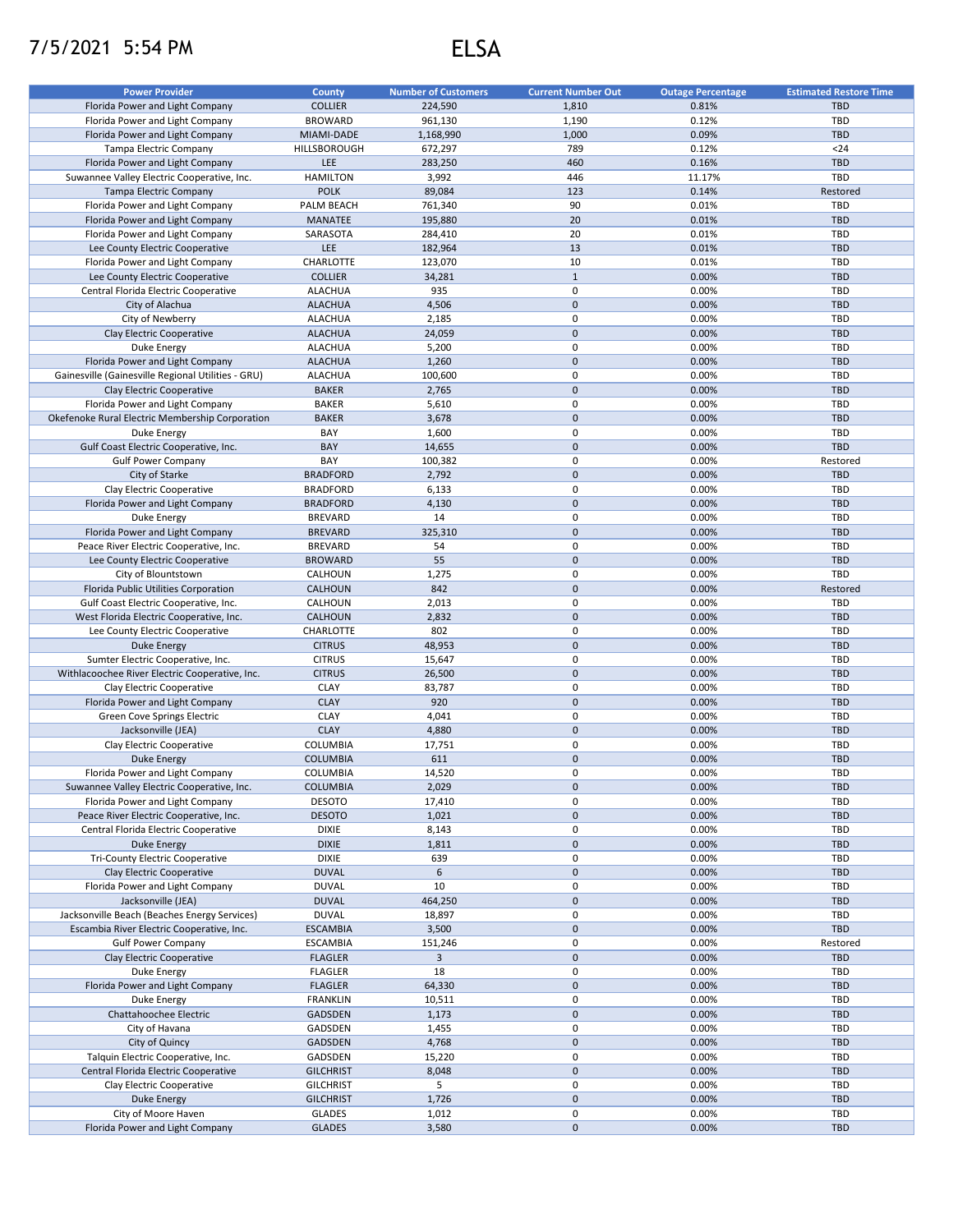## 7/5/2021 5:54 PM ELSA

| <b>Power Provider</b>                              | <b>County</b>    | <b>Number of Customers</b> | <b>Current Number Out</b> | <b>Outage Percentage</b> | <b>Estimated Restore Time</b> |
|----------------------------------------------------|------------------|----------------------------|---------------------------|--------------------------|-------------------------------|
| Florida Power and Light Company                    | <b>COLLIER</b>   | 224,590                    | 1,810                     | 0.81%                    | <b>TBD</b>                    |
|                                                    |                  |                            |                           |                          |                               |
| Florida Power and Light Company                    | <b>BROWARD</b>   | 961,130                    | 1,190                     | 0.12%                    | <b>TBD</b>                    |
| Florida Power and Light Company                    | MIAMI-DADE       | 1,168,990                  | 1,000                     | 0.09%                    | <b>TBD</b>                    |
| Tampa Electric Company                             | HILLSBOROUGH     | 672,297                    | 789                       | 0.12%                    | $24$                          |
| Florida Power and Light Company                    | LEE              | 283,250                    | 460                       | 0.16%                    | <b>TBD</b>                    |
| Suwannee Valley Electric Cooperative, Inc.         | <b>HAMILTON</b>  | 3,992                      | 446                       | 11.17%                   | TBD                           |
| Tampa Electric Company                             | <b>POLK</b>      | 89,084                     | 123                       | 0.14%                    | Restored                      |
|                                                    |                  |                            | 90                        |                          | <b>TBD</b>                    |
| Florida Power and Light Company                    | PALM BEACH       | 761,340                    |                           | 0.01%                    |                               |
| Florida Power and Light Company                    | <b>MANATEE</b>   | 195,880                    | 20                        | 0.01%                    | <b>TBD</b>                    |
| Florida Power and Light Company                    | SARASOTA         | 284,410                    | 20                        | 0.01%                    | <b>TBD</b>                    |
| Lee County Electric Cooperative                    | LEE              | 182,964                    | 13                        | 0.01%                    | <b>TBD</b>                    |
| Florida Power and Light Company                    | CHARLOTTE        | 123,070                    | 10                        | 0.01%                    | <b>TBD</b>                    |
| Lee County Electric Cooperative                    | <b>COLLIER</b>   | 34,281                     | $\mathbf 1$               | 0.00%                    | <b>TBD</b>                    |
|                                                    |                  |                            |                           |                          |                               |
| Central Florida Electric Cooperative               | <b>ALACHUA</b>   | 935                        | 0                         | 0.00%                    | <b>TBD</b>                    |
| City of Alachua                                    | <b>ALACHUA</b>   | 4,506                      | $\mathbf 0$               | 0.00%                    | <b>TBD</b>                    |
| City of Newberry                                   | <b>ALACHUA</b>   | 2,185                      | 0                         | 0.00%                    | <b>TBD</b>                    |
| Clay Electric Cooperative                          | <b>ALACHUA</b>   | 24,059                     | $\mathbf 0$               | 0.00%                    | <b>TBD</b>                    |
| Duke Energy                                        | <b>ALACHUA</b>   | 5,200                      | 0                         | 0.00%                    | <b>TBD</b>                    |
|                                                    |                  |                            | $\mathbf 0$               | 0.00%                    | <b>TBD</b>                    |
| Florida Power and Light Company                    | <b>ALACHUA</b>   | 1,260                      |                           |                          |                               |
| Gainesville (Gainesville Regional Utilities - GRU) | <b>ALACHUA</b>   | 100,600                    | 0                         | 0.00%                    | <b>TBD</b>                    |
| Clay Electric Cooperative                          | <b>BAKER</b>     | 2,765                      | $\pmb{0}$                 | 0.00%                    | <b>TBD</b>                    |
| Florida Power and Light Company                    | <b>BAKER</b>     | 5,610                      | 0                         | 0.00%                    | TBD                           |
| Okefenoke Rural Electric Membership Corporation    | <b>BAKER</b>     | 3,678                      | $\pmb{0}$                 | 0.00%                    | <b>TBD</b>                    |
|                                                    | BAY              |                            | 0                         | 0.00%                    | TBD                           |
| Duke Energy                                        |                  | 1,600                      |                           |                          |                               |
| Gulf Coast Electric Cooperative, Inc.              | BAY              | 14,655                     | $\pmb{0}$                 | 0.00%                    | <b>TBD</b>                    |
| <b>Gulf Power Company</b>                          | BAY              | 100,382                    | 0                         | 0.00%                    | Restored                      |
| City of Starke                                     | <b>BRADFORD</b>  | 2,792                      | $\pmb{0}$                 | 0.00%                    | <b>TBD</b>                    |
| Clay Electric Cooperative                          | <b>BRADFORD</b>  | 6,133                      | 0                         | 0.00%                    | <b>TBD</b>                    |
| Florida Power and Light Company                    | <b>BRADFORD</b>  | 4,130                      | $\pmb{0}$                 | 0.00%                    | <b>TBD</b>                    |
|                                                    |                  |                            |                           |                          |                               |
| Duke Energy                                        | <b>BREVARD</b>   | 14                         | 0                         | 0.00%                    | TBD                           |
| Florida Power and Light Company                    | <b>BREVARD</b>   | 325,310                    | $\mathbf 0$               | 0.00%                    | <b>TBD</b>                    |
| Peace River Electric Cooperative, Inc.             | <b>BREVARD</b>   | 54                         | 0                         | 0.00%                    | <b>TBD</b>                    |
| Lee County Electric Cooperative                    | <b>BROWARD</b>   | 55                         | $\pmb{0}$                 | 0.00%                    | <b>TBD</b>                    |
| City of Blountstown                                | CALHOUN          | 1,275                      | 0                         | 0.00%                    | <b>TBD</b>                    |
|                                                    |                  |                            |                           |                          |                               |
| Florida Public Utilities Corporation               | CALHOUN          | 842                        | $\mathbf 0$               | 0.00%                    | Restored                      |
| Gulf Coast Electric Cooperative, Inc.              | CALHOUN          | 2,013                      | $\mathbf 0$               | 0.00%                    | <b>TBD</b>                    |
| West Florida Electric Cooperative, Inc.            | <b>CALHOUN</b>   | 2,832                      | $\mathbf 0$               | 0.00%                    | <b>TBD</b>                    |
| Lee County Electric Cooperative                    | CHARLOTTE        | 802                        | 0                         | 0.00%                    | <b>TBD</b>                    |
| Duke Energy                                        | <b>CITRUS</b>    | 48,953                     | $\pmb{0}$                 | 0.00%                    | <b>TBD</b>                    |
| Sumter Electric Cooperative, Inc.                  | <b>CITRUS</b>    | 15,647                     | 0                         | 0.00%                    | <b>TBD</b>                    |
|                                                    |                  |                            |                           |                          |                               |
| Withlacoochee River Electric Cooperative, Inc.     | <b>CITRUS</b>    | 26,500                     | $\mathbf 0$               | 0.00%                    | <b>TBD</b>                    |
| Clay Electric Cooperative                          | CLAY             | 83,787                     | 0                         | 0.00%                    | <b>TBD</b>                    |
| Florida Power and Light Company                    | <b>CLAY</b>      | 920                        | $\mathbf 0$               | 0.00%                    | <b>TBD</b>                    |
| Green Cove Springs Electric                        | <b>CLAY</b>      | 4,041                      | 0                         | 0.00%                    | TBD                           |
| Jacksonville (JEA)                                 | <b>CLAY</b>      | 4,880                      | $\mathbf 0$               | 0.00%                    | <b>TBD</b>                    |
|                                                    |                  |                            |                           |                          |                               |
| Clay Electric Cooperative                          | COLUMBIA         | 17,751                     | 0                         | 0.00%                    | TBD                           |
| Duke Energy                                        | <b>COLUMBIA</b>  | 611                        | $\pmb{0}$                 | 0.00%                    | <b>TBD</b>                    |
| Florida Power and Light Company                    | COLUMBIA         | 14,520                     | 0                         | 0.00%                    | <b>TBD</b>                    |
| Suwannee Valley Electric Cooperative, Inc.         | <b>COLUMBIA</b>  | 2,029                      | $\pmb{0}$                 | 0.00%                    | <b>TBD</b>                    |
| Florida Power and Light Company                    | <b>DESOTO</b>    | 17,410                     | 0                         | 0.00%                    | TBD                           |
| Peace River Electric Cooperative, Inc.             | <b>DESOTO</b>    | 1,021                      | $\mathbf 0$               | 0.00%                    | <b>TBD</b>                    |
|                                                    |                  |                            |                           |                          |                               |
| Central Florida Electric Cooperative               | <b>DIXIE</b>     | 8,143                      | 0                         | 0.00%                    | TBD                           |
| Duke Energy                                        | <b>DIXIE</b>     | 1,811                      | $\mathsf{O}\xspace$       | 0.00%                    | <b>TBD</b>                    |
| <b>Tri-County Electric Cooperative</b>             | <b>DIXIE</b>     | 639                        | 0                         | 0.00%                    | TBD                           |
| Clay Electric Cooperative                          | <b>DUVAL</b>     | 6                          | $\pmb{0}$                 | 0.00%                    | <b>TBD</b>                    |
| Florida Power and Light Company                    | <b>DUVAL</b>     | 10                         | 0                         | 0.00%                    | <b>TBD</b>                    |
| Jacksonville (JEA)                                 | <b>DUVAL</b>     | 464,250                    | $\pmb{0}$                 | 0.00%                    | <b>TBD</b>                    |
|                                                    |                  |                            |                           |                          |                               |
| Jacksonville Beach (Beaches Energy Services)       | <b>DUVAL</b>     | 18,897                     | 0                         | 0.00%                    | TBD                           |
| Escambia River Electric Cooperative, Inc.          | <b>ESCAMBIA</b>  | 3,500                      | $\pmb{0}$                 | 0.00%                    | <b>TBD</b>                    |
| <b>Gulf Power Company</b>                          | <b>ESCAMBIA</b>  | 151,246                    | 0                         | 0.00%                    | Restored                      |
| Clay Electric Cooperative                          | <b>FLAGLER</b>   | $\mathbf{3}$               | $\pmb{0}$                 | 0.00%                    | <b>TBD</b>                    |
| Duke Energy                                        | <b>FLAGLER</b>   | 18                         | 0                         | 0.00%                    | TBD                           |
|                                                    |                  |                            | $\mathbf 0$               |                          | <b>TBD</b>                    |
| Florida Power and Light Company                    | <b>FLAGLER</b>   | 64,330                     |                           | 0.00%                    |                               |
| Duke Energy                                        | <b>FRANKLIN</b>  | 10,511                     | 0                         | 0.00%                    | TBD                           |
| Chattahoochee Electric                             | GADSDEN          | 1,173                      | $\mathsf{O}\xspace$       | 0.00%                    | <b>TBD</b>                    |
| City of Havana                                     | GADSDEN          | 1,455                      | 0                         | 0.00%                    | TBD                           |
| City of Quincy                                     | GADSDEN          | 4,768                      | $\mathbf 0$               | 0.00%                    | <b>TBD</b>                    |
| Talquin Electric Cooperative, Inc.                 | GADSDEN          | 15,220                     | 0                         | 0.00%                    | TBD                           |
|                                                    |                  |                            |                           |                          |                               |
| Central Florida Electric Cooperative               | <b>GILCHRIST</b> | 8,048                      | $\mathbf 0$               | 0.00%                    | <b>TBD</b>                    |
| Clay Electric Cooperative                          | <b>GILCHRIST</b> | 5                          | 0                         | 0.00%                    | TBD                           |
| Duke Energy                                        | <b>GILCHRIST</b> | 1,726                      | $\pmb{0}$                 | 0.00%                    | <b>TBD</b>                    |
| City of Moore Haven                                | GLADES           | 1,012                      | 0                         | 0.00%                    | TBD                           |
| Florida Power and Light Company                    | <b>GLADES</b>    | 3,580                      | $\mathsf{O}\xspace$       | 0.00%                    | TBD                           |
|                                                    |                  |                            |                           |                          |                               |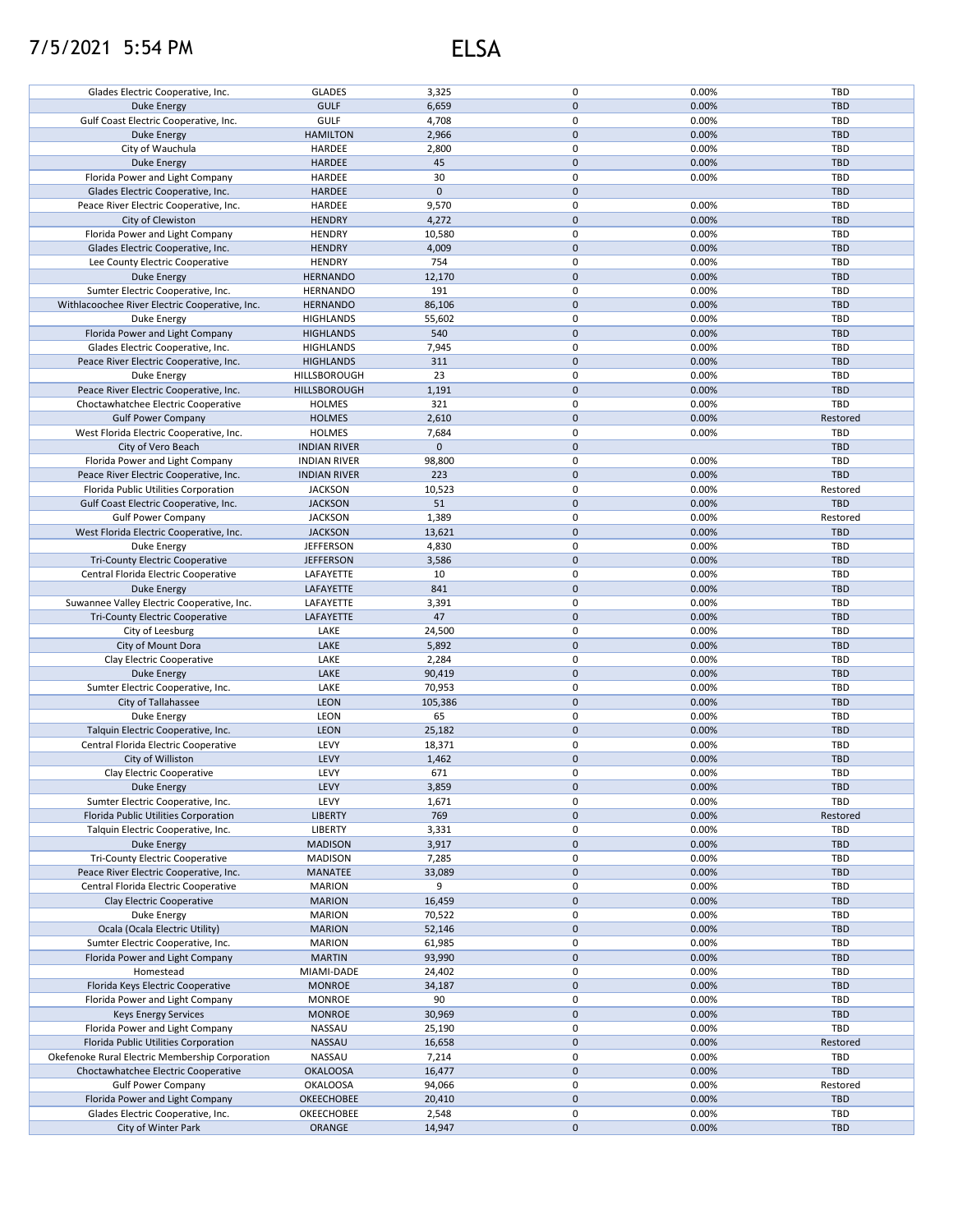## 7/5/2021 5:54 PM ELSA

| Glades Electric Cooperative, Inc.               | <b>GLADES</b>       | 3,325        | 0                   | 0.00% | TBD        |
|-------------------------------------------------|---------------------|--------------|---------------------|-------|------------|
| Duke Energy                                     | <b>GULF</b>         | 6,659        | $\pmb{0}$           | 0.00% | <b>TBD</b> |
|                                                 |                     |              |                     |       |            |
| Gulf Coast Electric Cooperative, Inc.           | <b>GULF</b>         | 4,708        | 0                   | 0.00% | TBD        |
| Duke Energy                                     | <b>HAMILTON</b>     | 2,966        | $\pmb{0}$           | 0.00% | <b>TBD</b> |
| City of Wauchula                                | HARDEE              | 2,800        | $\pmb{0}$           | 0.00% | <b>TBD</b> |
| <b>Duke Energy</b>                              | <b>HARDEE</b>       | 45           | $\pmb{0}$           | 0.00% | <b>TBD</b> |
| Florida Power and Light Company                 | HARDEE              | 30           | 0                   | 0.00% | TBD        |
| Glades Electric Cooperative, Inc.               | <b>HARDEE</b>       | $\mathbf{0}$ | $\mathbf{0}$        |       | <b>TBD</b> |
| Peace River Electric Cooperative, Inc.          | <b>HARDEE</b>       | 9,570        | 0                   | 0.00% | TBD        |
|                                                 |                     |              |                     |       |            |
| City of Clewiston                               | <b>HENDRY</b>       | 4,272        | $\pmb{0}$           | 0.00% | <b>TBD</b> |
| Florida Power and Light Company                 | <b>HENDRY</b>       | 10,580       | 0                   | 0.00% | TBD        |
| Glades Electric Cooperative, Inc.               | <b>HENDRY</b>       | 4,009        | $\pmb{0}$           | 0.00% | <b>TBD</b> |
| Lee County Electric Cooperative                 | <b>HENDRY</b>       | 754          | $\mathbf 0$         | 0.00% | TBD        |
| <b>Duke Energy</b>                              | <b>HERNANDO</b>     | 12,170       | $\pmb{0}$           | 0.00% | <b>TBD</b> |
| Sumter Electric Cooperative, Inc.               | HERNANDO            | 191          | 0                   | 0.00% | TBD        |
| Withlacoochee River Electric Cooperative, Inc.  | <b>HERNANDO</b>     | 86,106       | $\pmb{0}$           | 0.00% | <b>TBD</b> |
|                                                 |                     |              |                     |       |            |
| Duke Energy                                     | <b>HIGHLANDS</b>    | 55,602       | 0                   | 0.00% | TBD        |
| Florida Power and Light Company                 | <b>HIGHLANDS</b>    | 540          | $\pmb{0}$           | 0.00% | <b>TBD</b> |
| Glades Electric Cooperative, Inc.               | <b>HIGHLANDS</b>    | 7,945        | 0                   | 0.00% | TBD        |
| Peace River Electric Cooperative, Inc.          | <b>HIGHLANDS</b>    | 311          | $\pmb{0}$           | 0.00% | <b>TBD</b> |
| Duke Energy                                     | HILLSBOROUGH        | 23           | 0                   | 0.00% | TBD        |
| Peace River Electric Cooperative, Inc.          | HILLSBOROUGH        | 1,191        | $\pmb{0}$           | 0.00% | <b>TBD</b> |
| Choctawhatchee Electric Cooperative             | <b>HOLMES</b>       | 321          | 0                   | 0.00% | TBD        |
|                                                 |                     |              |                     |       |            |
| <b>Gulf Power Company</b>                       | <b>HOLMES</b>       | 2,610        | $\pmb{0}$           | 0.00% | Restored   |
| West Florida Electric Cooperative, Inc.         | <b>HOLMES</b>       | 7,684        | $\pmb{0}$           | 0.00% | TBD        |
| City of Vero Beach                              | <b>INDIAN RIVER</b> | $\mathbf 0$  | $\pmb{0}$           |       | <b>TBD</b> |
| Florida Power and Light Company                 | <b>INDIAN RIVER</b> | 98,800       | 0                   | 0.00% | TBD        |
| Peace River Electric Cooperative, Inc.          | <b>INDIAN RIVER</b> | 223          | $\pmb{0}$           | 0.00% | <b>TBD</b> |
| Florida Public Utilities Corporation            | <b>JACKSON</b>      | 10,523       | 0                   | 0.00% | Restored   |
| Gulf Coast Electric Cooperative, Inc.           | <b>JACKSON</b>      | 51           | $\pmb{0}$           | 0.00% | TBD        |
|                                                 |                     |              |                     |       |            |
| <b>Gulf Power Company</b>                       | <b>JACKSON</b>      | 1,389        | 0                   | 0.00% | Restored   |
| West Florida Electric Cooperative, Inc.         | <b>JACKSON</b>      | 13,621       | $\pmb{0}$           | 0.00% | <b>TBD</b> |
| Duke Energy                                     | <b>JEFFERSON</b>    | 4,830        | 0                   | 0.00% | <b>TBD</b> |
| <b>Tri-County Electric Cooperative</b>          | <b>JEFFERSON</b>    | 3,586        | $\pmb{0}$           | 0.00% | <b>TBD</b> |
| Central Florida Electric Cooperative            | LAFAYETTE           | 10           | 0                   | 0.00% | TBD        |
| <b>Duke Energy</b>                              | LAFAYETTE           | 841          | $\pmb{0}$           | 0.00% | <b>TBD</b> |
| Suwannee Valley Electric Cooperative, Inc.      | LAFAYETTE           | 3,391        | $\mathbf 0$         | 0.00% | TBD        |
| <b>Tri-County Electric Cooperative</b>          | LAFAYETTE           | 47           | $\pmb{0}$           | 0.00% | <b>TBD</b> |
|                                                 |                     |              |                     |       |            |
| City of Leesburg                                | LAKE                | 24,500       | 0                   | 0.00% | TBD        |
| City of Mount Dora                              | LAKE                | 5,892        | $\pmb{0}$           | 0.00% | <b>TBD</b> |
| Clay Electric Cooperative                       | LAKE                | 2,284        | $\pmb{0}$           | 0.00% | TBD        |
| <b>Duke Energy</b>                              | LAKE                | 90,419       | $\pmb{0}$           | 0.00% | <b>TBD</b> |
| Sumter Electric Cooperative, Inc.               | LAKE                | 70,953       | 0                   | 0.00% | TBD        |
| City of Tallahassee                             | <b>LEON</b>         | 105,386      | $\pmb{0}$           | 0.00% | <b>TBD</b> |
| Duke Energy                                     | LEON                | 65           | 0                   | 0.00% | TBD        |
|                                                 |                     |              |                     |       |            |
| Talquin Electric Cooperative, Inc.              | <b>LEON</b>         | 25,182       | $\pmb{0}$           | 0.00% | <b>TBD</b> |
| Central Florida Electric Cooperative            | LEVY                | 18,371       | 0                   | 0.00% | TBD        |
| City of Williston                               | LEVY                | 1,462        | $\pmb{0}$           | 0.00% | <b>TBD</b> |
| Clay Electric Cooperative                       | LEVY                | 671          | $\mathbf 0$         | 0.00% | TBD        |
| <b>Duke Energy</b>                              | LEVY                | 3,859        | $\pmb{0}$           | 0.00% | <b>TBD</b> |
| Sumter Electric Cooperative, Inc.               | LEVY                | 1,671        | $\pmb{0}$           | 0.00% | TBD        |
| Florida Public Utilities Corporation            | <b>LIBERTY</b>      | 769          | $\mathbf 0$         | 0.00% | Restored   |
|                                                 |                     |              |                     |       |            |
| Talquin Electric Cooperative, Inc.              | LIBERTY             | 3,331        | 0                   | 0.00% | TBD        |
| <b>Duke Energy</b>                              | <b>MADISON</b>      | 3,917        | 0                   | 0.00% | <b>TBD</b> |
| <b>Tri-County Electric Cooperative</b>          | <b>MADISON</b>      | 7,285        | 0                   | 0.00% | TBD        |
| Peace River Electric Cooperative, Inc.          | MANATEE             | 33,089       | $\mathbf 0$         | 0.00% | <b>TBD</b> |
| Central Florida Electric Cooperative            | <b>MARION</b>       | 9            | 0                   | 0.00% | TBD        |
| Clay Electric Cooperative                       | <b>MARION</b>       | 16,459       | $\mathbf 0$         | 0.00% | <b>TBD</b> |
| Duke Energy                                     | <b>MARION</b>       | 70,522       | 0                   | 0.00% | TBD        |
|                                                 |                     |              |                     |       |            |
| Ocala (Ocala Electric Utility)                  | <b>MARION</b>       | 52,146       | $\pmb{0}$           | 0.00% | <b>TBD</b> |
| Sumter Electric Cooperative, Inc.               | <b>MARION</b>       | 61,985       | 0                   | 0.00% | TBD        |
| Florida Power and Light Company                 | <b>MARTIN</b>       | 93,990       | $\pmb{0}$           | 0.00% | <b>TBD</b> |
| Homestead                                       | MIAMI-DADE          | 24,402       | 0                   | 0.00% | TBD        |
| Florida Keys Electric Cooperative               | <b>MONROE</b>       | 34,187       | $\pmb{0}$           | 0.00% | <b>TBD</b> |
| Florida Power and Light Company                 | <b>MONROE</b>       | 90           | 0                   | 0.00% | TBD        |
| <b>Keys Energy Services</b>                     | <b>MONROE</b>       | 30,969       | $\pmb{0}$           | 0.00% | <b>TBD</b> |
|                                                 |                     |              |                     |       |            |
| Florida Power and Light Company                 | NASSAU              | 25,190       | 0                   | 0.00% | TBD        |
| Florida Public Utilities Corporation            | NASSAU              | 16,658       | $\pmb{0}$           | 0.00% | Restored   |
| Okefenoke Rural Electric Membership Corporation | NASSAU              | 7,214        | 0                   | 0.00% | TBD        |
| Choctawhatchee Electric Cooperative             | <b>OKALOOSA</b>     | 16,477       | $\pmb{0}$           | 0.00% | <b>TBD</b> |
| <b>Gulf Power Company</b>                       | <b>OKALOOSA</b>     | 94,066       | 0                   | 0.00% | Restored   |
| Florida Power and Light Company                 | <b>OKEECHOBEE</b>   | 20,410       | $\pmb{0}$           | 0.00% | <b>TBD</b> |
| Glades Electric Cooperative, Inc.               | OKEECHOBEE          | 2,548        | 0                   | 0.00% | TBD        |
|                                                 |                     |              |                     |       |            |
| City of Winter Park                             | ORANGE              | 14,947       | $\mathsf{O}\xspace$ | 0.00% | TBD        |